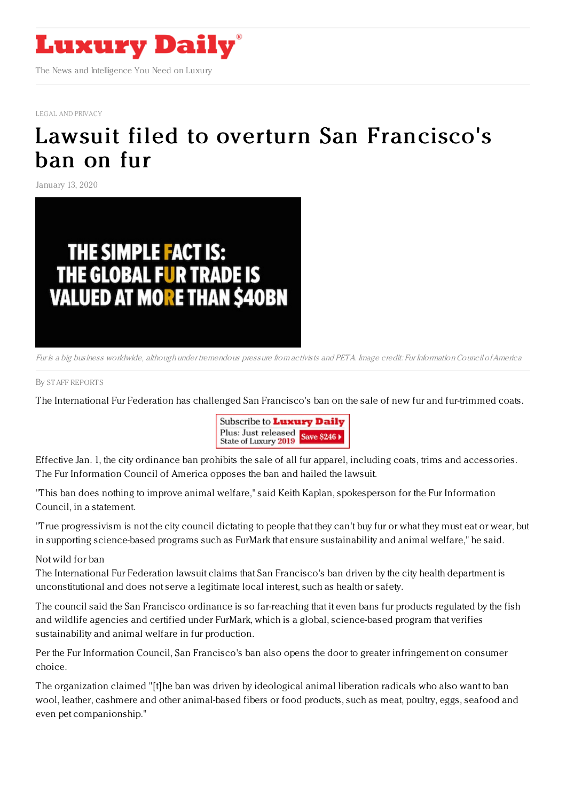

LEGAL AND [PRIVACY](https://www.luxurydaily.com/category/sectors/legal-and-privacy/)

## Lawsuit filed to overturn San [Francisco's](https://www.luxurydaily.com/lawsuit-filed-to-overturn-san-franciscos-ban-on-fur/) ban on fur

January 13, 2020



Fur is <sup>a</sup> big business worldwide, although under tremendous pressure from activists and PETA. Image credit: Fur InformationCouncil ofAmerica

## By STAFF [REPORT](file:///author/staff-reports) S

The International Fur Federation has challenged San Francisco's ban on the sale of new fur and fur-trimmed coats.



Effective Jan. 1, the city ordinance ban prohibits the sale of all fur apparel, including coats, trims and accessories. The Fur Information Council of America opposes the ban and hailed the lawsuit.

"This ban does nothing to improve animal welfare," said Keith Kaplan, spokesperson for the Fur Information Council, in a statement.

"True progressivism is not the city council dictating to people that they can't buy fur or what they must eat or wear, but in supporting science-based programs such as FurMark that ensure sustainability and animal welfare," he said.

## Not wild for ban

The International Fur Federation lawsuit claims that San Francisco's ban driven by the city health department is unconstitutional and does not serve a legitimate local interest, such as health or safety.

The council said the San Francisco ordinance is so far-reaching that it even bans fur products regulated by the fish and wildlife agencies and certified under FurMark, which is a global, science-based program that verifies sustainability and animal welfare in fur production.

Per the Fur Information Council, San Francisco's ban also opens the door to greater infringement on consumer choice.

The organization claimed "[t]he ban was driven by ideological animal liberation radicals who also want to ban wool, leather, cashmere and other animal-based fibers or food products, such as meat, poultry, eggs, seafood and even pet companionship."